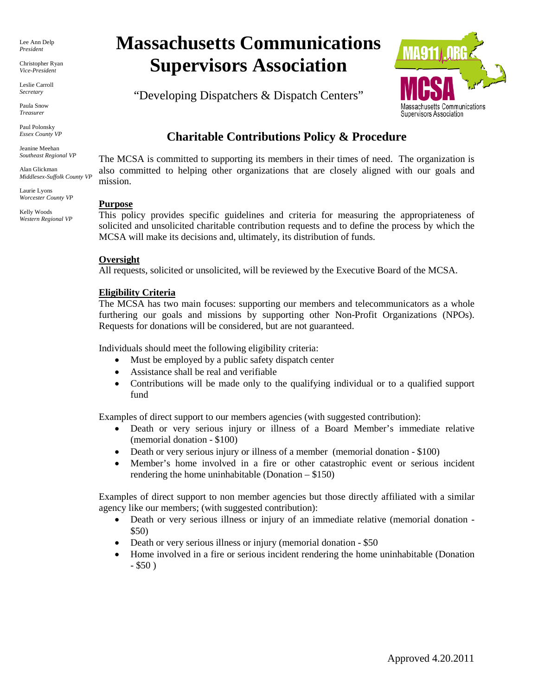Lee Ann Delp *President*

Christopher Ryan *Vice-President*

Leslie Carroll *Secretary*

Paula Snow *Treasurer*

Paul Polonsky *Essex County VP*

Jeanine Meehan *Southeast Regional VP*

Alan Glickman *Middlesex-Suffolk County VP*

Laurie Lyons *Worcester County VP*

Kelly Woods *Western Regional VP*

# **Massachusetts Communications Supervisors Association**

"Developing Dispatchers & Dispatch Centers"



# **Charitable Contributions Policy & Procedure**

The MCSA is committed to supporting its members in their times of need. The organization is also committed to helping other organizations that are closely aligned with our goals and mission.

# **Purpose**

This policy provides specific guidelines and criteria for measuring the appropriateness of solicited and unsolicited charitable contribution requests and to define the process by which the MCSA will make its decisions and, ultimately, its distribution of funds.

#### **Oversight**

All requests, solicited or unsolicited, will be reviewed by the Executive Board of the MCSA.

# **Eligibility Criteria**

The MCSA has two main focuses: supporting our members and telecommunicators as a whole furthering our goals and missions by supporting other Non-Profit Organizations (NPOs). Requests for donations will be considered, but are not guaranteed.

Individuals should meet the following eligibility criteria:

- Must be employed by a public safety dispatch center
- Assistance shall be real and verifiable
- Contributions will be made only to the qualifying individual or to a qualified support fund

Examples of direct support to our members agencies (with suggested contribution):

- Death or very serious injury or illness of a Board Member's immediate relative (memorial donation - \$100)
- Death or very serious injury or illness of a member (memorial donation \$100)
- Member's home involved in a fire or other catastrophic event or serious incident rendering the home uninhabitable (Donation  $- $150$ )

Examples of direct support to non member agencies but those directly affiliated with a similar agency like our members; (with suggested contribution):

- Death or very serious illness or injury of an immediate relative (memorial donation -\$50)
- Death or very serious illness or injury (memorial donation \$50
- Home involved in a fire or serious incident rendering the home uninhabitable (Donation  $-$  \$50)